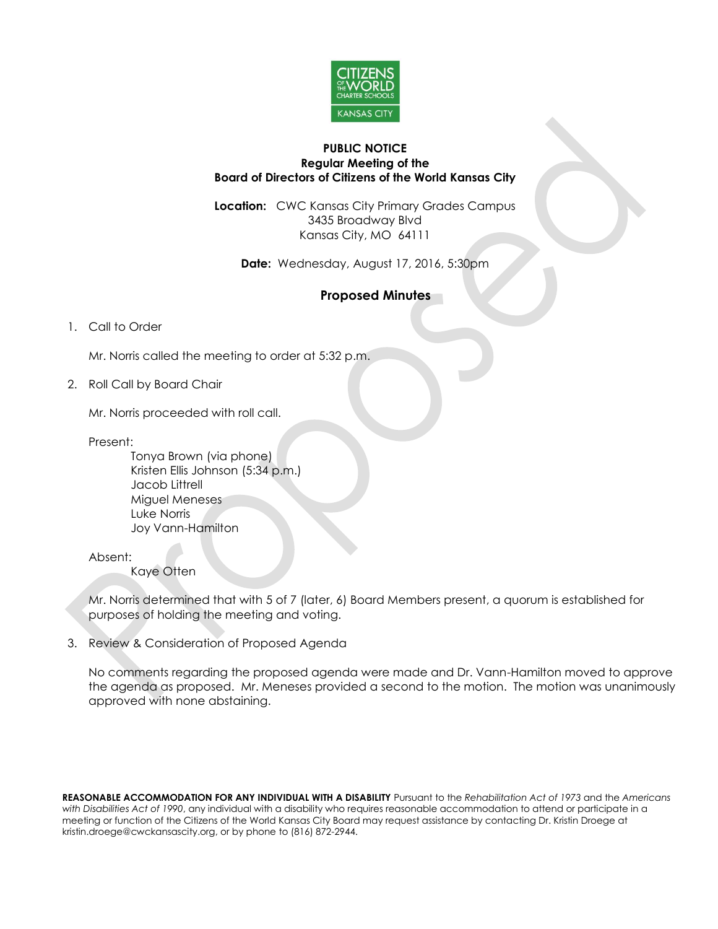

#### **PUBLIC NOTICE Regular Meeting of the Board of Directors of Citizens of the World Kansas City**

**Location:** CWC Kansas City Primary Grades Campus 3435 Broadway Blvd Kansas City, MO 64111

**Date:** Wednesday, August 17, 2016, 5:30pm

# **Proposed Minutes**

# 1. Call to Order

Mr. Norris called the meeting to order at 5:32 p.m.

2. Roll Call by Board Chair

Mr. Norris proceeded with roll call.

Present:

Tonya Brown (via phone) Kristen Ellis Johnson (5:34 p.m.) Jacob Littrell Miguel Meneses Luke Norris Joy Vann-Hamilton

Absent:

Kaye Otten

Mr. Norris determined that with 5 of 7 (later, 6) Board Members present, a quorum is established for purposes of holding the meeting and voting.

3. Review & Consideration of Proposed Agenda

No comments regarding the proposed agenda were made and Dr. Vann-Hamilton moved to approve the agenda as proposed. Mr. Meneses provided a second to the motion. The motion was unanimously approved with none abstaining.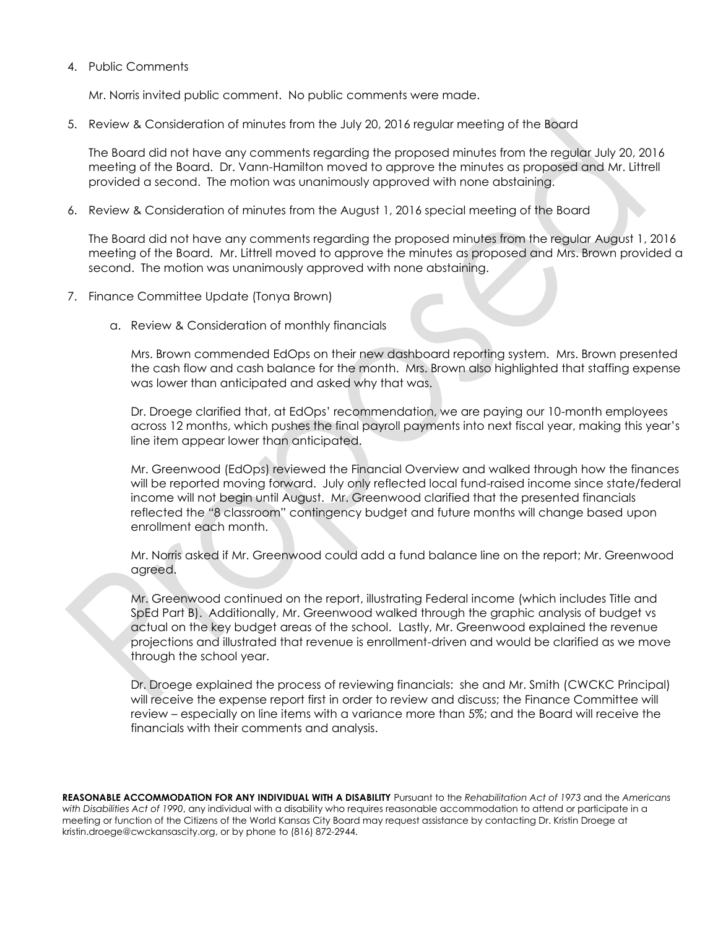4. Public Comments

Mr. Norris invited public comment. No public comments were made.

5. Review & Consideration of minutes from the July 20, 2016 regular meeting of the Board

The Board did not have any comments regarding the proposed minutes from the regular July 20, 2016 meeting of the Board. Dr. Vann-Hamilton moved to approve the minutes as proposed and Mr. Littrell provided a second. The motion was unanimously approved with none abstaining.

6. Review & Consideration of minutes from the August 1, 2016 special meeting of the Board

The Board did not have any comments regarding the proposed minutes from the regular August 1, 2016 meeting of the Board. Mr. Littrell moved to approve the minutes as proposed and Mrs. Brown provided a second. The motion was unanimously approved with none abstaining.

- 7. Finance Committee Update (Tonya Brown)
	- a. Review & Consideration of monthly financials

Mrs. Brown commended EdOps on their new dashboard reporting system. Mrs. Brown presented the cash flow and cash balance for the month. Mrs. Brown also highlighted that staffing expense was lower than anticipated and asked why that was.

Dr. Droege clarified that, at EdOps' recommendation, we are paying our 10-month employees across 12 months, which pushes the final payroll payments into next fiscal year, making this year's line item appear lower than anticipated.

Mr. Greenwood (EdOps) reviewed the Financial Overview and walked through how the finances will be reported moving forward. July only reflected local fund-raised income since state/federal income will not begin until August. Mr. Greenwood clarified that the presented financials reflected the "8 classroom" contingency budget and future months will change based upon enrollment each month.

Mr. Norris asked if Mr. Greenwood could add a fund balance line on the report; Mr. Greenwood agreed.

Mr. Greenwood continued on the report, illustrating Federal income (which includes Title and SpEd Part B). Additionally, Mr. Greenwood walked through the graphic analysis of budget vs actual on the key budget areas of the school. Lastly, Mr. Greenwood explained the revenue projections and illustrated that revenue is enrollment-driven and would be clarified as we move through the school year.

Dr. Droege explained the process of reviewing financials: she and Mr. Smith (CWCKC Principal) will receive the expense report first in order to review and discuss; the Finance Committee will review – especially on line items with a variance more than 5%; and the Board will receive the financials with their comments and analysis.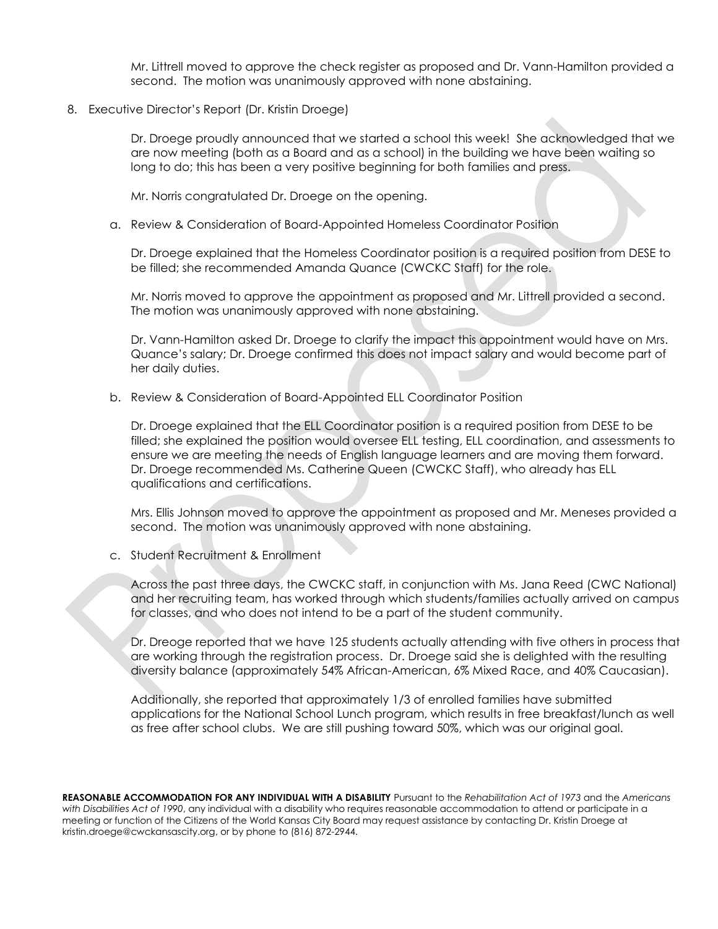Mr. Littrell moved to approve the check register as proposed and Dr. Vann-Hamilton provided a second. The motion was unanimously approved with none abstaining.

### 8. Executive Director's Report (Dr. Kristin Droege)

Dr. Droege proudly announced that we started a school this week! She acknowledged that we are now meeting (both as a Board and as a school) in the building we have been waiting so long to do; this has been a very positive beginning for both families and press.

Mr. Norris congratulated Dr. Droege on the opening.

#### a. Review & Consideration of Board-Appointed Homeless Coordinator Position

Dr. Droege explained that the Homeless Coordinator position is a required position from DESE to be filled; she recommended Amanda Quance (CWCKC Staff) for the role.

Mr. Norris moved to approve the appointment as proposed and Mr. Littrell provided a second. The motion was unanimously approved with none abstaining.

Dr. Vann-Hamilton asked Dr. Droege to clarify the impact this appointment would have on Mrs. Quance's salary; Dr. Droege confirmed this does not impact salary and would become part of her daily duties.

b. Review & Consideration of Board-Appointed ELL Coordinator Position

Dr. Droege explained that the ELL Coordinator position is a required position from DESE to be filled; she explained the position would oversee ELL testing, ELL coordination, and assessments to ensure we are meeting the needs of English language learners and are moving them forward. Dr. Droege recommended Ms. Catherine Queen (CWCKC Staff), who already has ELL qualifications and certifications.

Mrs. Ellis Johnson moved to approve the appointment as proposed and Mr. Meneses provided a second. The motion was unanimously approved with none abstaining.

c. Student Recruitment & Enrollment

Across the past three days, the CWCKC staff, in conjunction with Ms. Jana Reed (CWC National) and her recruiting team, has worked through which students/families actually arrived on campus for classes, and who does not intend to be a part of the student community.

Dr. Dreoge reported that we have 125 students actually attending with five others in process that are working through the registration process. Dr. Droege said she is delighted with the resulting diversity balance (approximately 54% African-American, 6% Mixed Race, and 40% Caucasian).

Additionally, she reported that approximately 1/3 of enrolled families have submitted applications for the National School Lunch program, which results in free breakfast/lunch as well as free after school clubs. We are still pushing toward 50%, which was our original goal.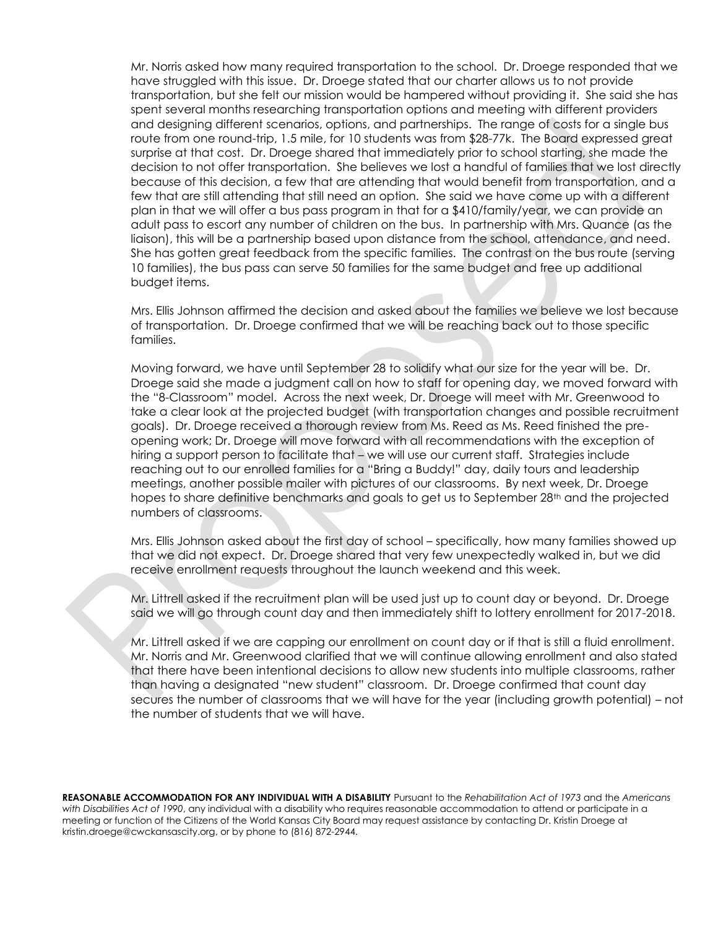Mr. Norris asked how many required transportation to the school. Dr. Droege responded that we have struggled with this issue. Dr. Droege stated that our charter allows us to not provide transportation, but she felt our mission would be hampered without providing it. She said she has spent several months researching transportation options and meeting with different providers and designing different scenarios, options, and partnerships. The range of costs for a single bus route from one round-trip, 1.5 mile, for 10 students was from \$28-77k. The Board expressed great surprise at that cost. Dr. Droege shared that immediately prior to school starting, she made the decision to not offer transportation. She believes we lost a handful of families that we lost directly because of this decision, a few that are attending that would benefit from transportation, and a few that are still attending that still need an option. She said we have come up with a different plan in that we will offer a bus pass program in that for a \$410/family/year, we can provide an adult pass to escort any number of children on the bus. In partnership with Mrs. Quance (as the liaison), this will be a partnership based upon distance from the school, attendance, and need. She has gotten great feedback from the specific families. The contrast on the bus route (serving 10 families), the bus pass can serve 50 families for the same budget and free up additional budget items.

Mrs. Ellis Johnson affirmed the decision and asked about the families we believe we lost because of transportation. Dr. Droege confirmed that we will be reaching back out to those specific families.

Moving forward, we have until September 28 to solidify what our size for the year will be. Dr. Droege said she made a judgment call on how to staff for opening day, we moved forward with the "8-Classroom" model. Across the next week, Dr. Droege will meet with Mr. Greenwood to take a clear look at the projected budget (with transportation changes and possible recruitment goals). Dr. Droege received a thorough review from Ms. Reed as Ms. Reed finished the preopening work; Dr. Droege will move forward with all recommendations with the exception of hiring a support person to facilitate that – we will use our current staff. Strategies include reaching out to our enrolled families for a "Bring a Buddy!" day, daily tours and leadership meetings, another possible mailer with pictures of our classrooms. By next week, Dr. Droege hopes to share definitive benchmarks and goals to get us to September 28<sup>th</sup> and the projected numbers of classrooms.

Mrs. Ellis Johnson asked about the first day of school – specifically, how many families showed up that we did not expect. Dr. Droege shared that very few unexpectedly walked in, but we did receive enrollment requests throughout the launch weekend and this week.

Mr. Littrell asked if the recruitment plan will be used just up to count day or beyond. Dr. Droege said we will go through count day and then immediately shift to lottery enrollment for 2017-2018.

Mr. Littrell asked if we are capping our enrollment on count day or if that is still a fluid enrollment. Mr. Norris and Mr. Greenwood clarified that we will continue allowing enrollment and also stated that there have been intentional decisions to allow new students into multiple classrooms, rather than having a designated "new student" classroom. Dr. Droege confirmed that count day secures the number of classrooms that we will have for the year (including growth potential) – not the number of students that we will have.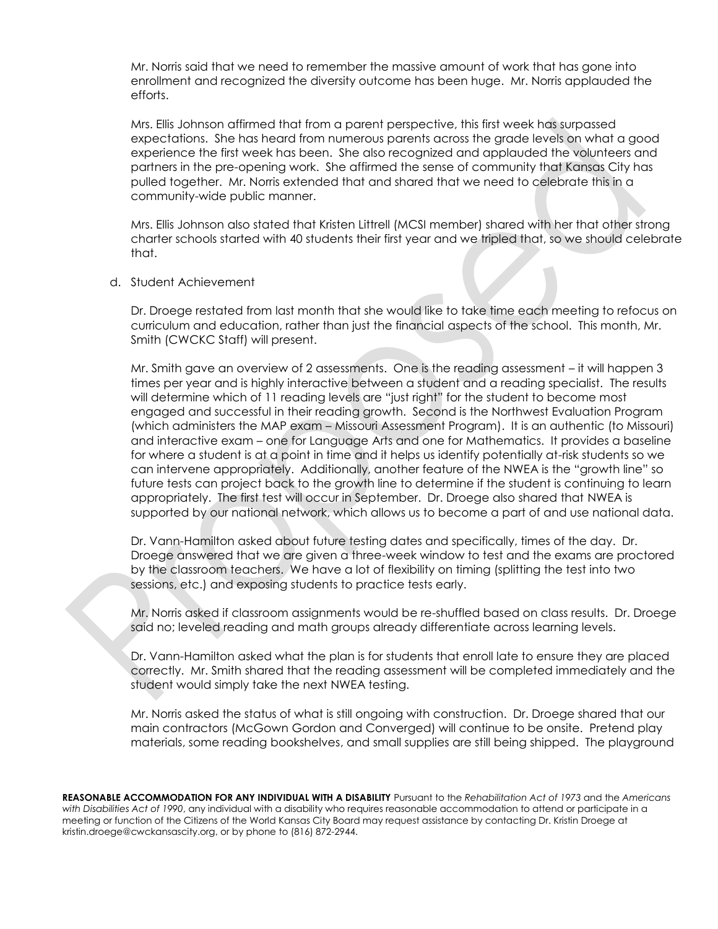Mr. Norris said that we need to remember the massive amount of work that has gone into enrollment and recognized the diversity outcome has been huge. Mr. Norris applauded the efforts.

Mrs. Ellis Johnson affirmed that from a parent perspective, this first week has surpassed expectations. She has heard from numerous parents across the grade levels on what a good experience the first week has been. She also recognized and applauded the volunteers and partners in the pre-opening work. She affirmed the sense of community that Kansas City has pulled together. Mr. Norris extended that and shared that we need to celebrate this in a community-wide public manner.

Mrs. Ellis Johnson also stated that Kristen Littrell (MCSI member) shared with her that other strong charter schools started with 40 students their first year and we tripled that, so we should celebrate that.

d. Student Achievement

Dr. Droege restated from last month that she would like to take time each meeting to refocus on curriculum and education, rather than just the financial aspects of the school. This month, Mr. Smith (CWCKC Staff) will present.

Mr. Smith gave an overview of 2 assessments. One is the reading assessment – it will happen 3 times per year and is highly interactive between a student and a reading specialist. The results will determine which of 11 reading levels are "just right" for the student to become most engaged and successful in their reading growth. Second is the Northwest Evaluation Program (which administers the MAP exam – Missouri Assessment Program). It is an authentic (to Missouri) and interactive exam – one for Language Arts and one for Mathematics. It provides a baseline for where a student is at a point in time and it helps us identify potentially at-risk students so we can intervene appropriately. Additionally, another feature of the NWEA is the "growth line" so future tests can project back to the growth line to determine if the student is continuing to learn appropriately. The first test will occur in September. Dr. Droege also shared that NWEA is supported by our national network, which allows us to become a part of and use national data.

Dr. Vann-Hamilton asked about future testing dates and specifically, times of the day. Dr. Droege answered that we are given a three-week window to test and the exams are proctored by the classroom teachers. We have a lot of flexibility on timing (splitting the test into two sessions, etc.) and exposing students to practice tests early.

Mr. Norris asked if classroom assignments would be re-shuffled based on class results. Dr. Droege said no; leveled reading and math groups already differentiate across learning levels.

Dr. Vann-Hamilton asked what the plan is for students that enroll late to ensure they are placed correctly. Mr. Smith shared that the reading assessment will be completed immediately and the student would simply take the next NWEA testing.

Mr. Norris asked the status of what is still ongoing with construction. Dr. Droege shared that our main contractors (McGown Gordon and Converged) will continue to be onsite. Pretend play materials, some reading bookshelves, and small supplies are still being shipped. The playground